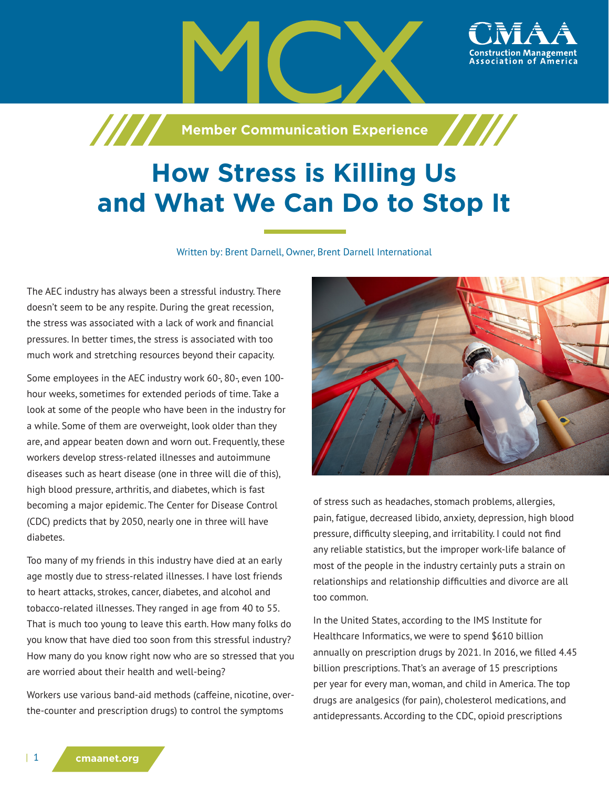

## **How Stress is Killing Us and What We Can Do to Stop It**

Written by: Brent Darnell, Owner, Brent Darnell International

The AEC industry has always been a stressful industry. There doesn't seem to be any respite. During the great recession, the stress was associated with a lack of work and financial pressures. In better times, the stress is associated with too much work and stretching resources beyond their capacity.

Some employees in the AEC industry work 60-, 80-, even 100 hour weeks, sometimes for extended periods of time. Take a look at some of the people who have been in the industry for a while. Some of them are overweight, look older than they are, and appear beaten down and worn out. Frequently, these workers develop stress-related illnesses and autoimmune diseases such as heart disease (one in three will die of this), high blood pressure, arthritis, and diabetes, which is fast becoming a major epidemic. The Center for Disease Control (CDC) predicts that by 2050, nearly one in three will have diabetes.

Too many of my friends in this industry have died at an early age mostly due to stress-related illnesses. I have lost friends to heart attacks, strokes, cancer, diabetes, and alcohol and tobacco-related illnesses. They ranged in age from 40 to 55. That is much too young to leave this earth. How many folks do you know that have died too soon from this stressful industry? How many do you know right now who are so stressed that you are worried about their health and well-being?

Workers use various band-aid methods (caffeine, nicotine, overthe-counter and prescription drugs) to control the symptoms



of stress such as headaches, stomach problems, allergies, pain, fatigue, decreased libido, anxiety, depression, high blood pressure, difficulty sleeping, and irritability. I could not find any reliable statistics, but the improper work-life balance of most of the people in the industry certainly puts a strain on relationships and relationship difficulties and divorce are all too common.

In the United States, according to the IMS Institute for Healthcare Informatics, we were to spend \$610 billion annually on prescription drugs by 2021. In 2016, we filled 4.45 billion prescriptions. That's an average of 15 prescriptions per year for every man, woman, and child in America. The top drugs are analgesics (for pain), cholesterol medications, and antidepressants. According to the CDC, opioid prescriptions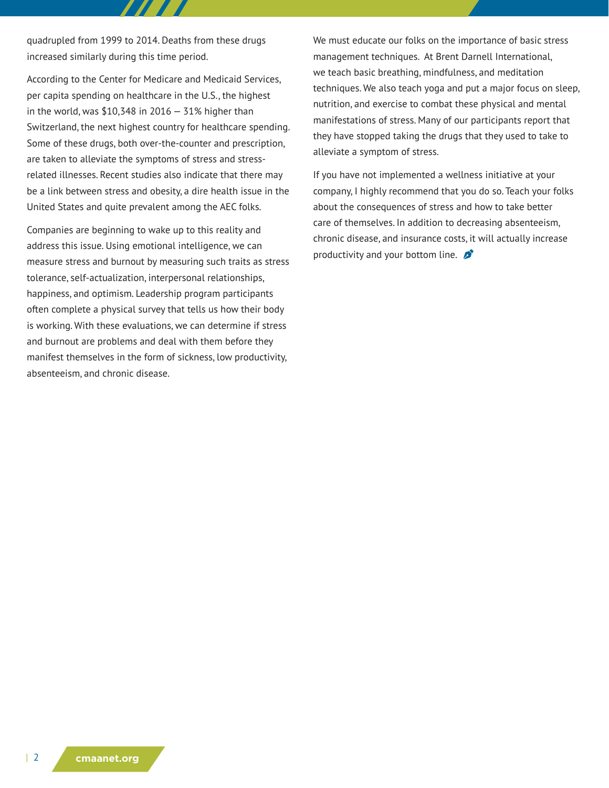quadrupled from 1999 to 2014. Deaths from these drugs increased similarly during this time period.

According to the Center for Medicare and Medicaid Services, per capita spending on healthcare in the U.S., the highest in the world, was  $$10,348$  in 2016 - 31% higher than Switzerland, the next highest country for healthcare spending. Some of these drugs, both over-the-counter and prescription, are taken to alleviate the symptoms of stress and stressrelated illnesses. Recent studies also indicate that there may be a link between stress and obesity, a dire health issue in the United States and quite prevalent among the AEC folks.

Companies are beginning to wake up to this reality and address this issue. Using emotional intelligence, we can measure stress and burnout by measuring such traits as stress tolerance, self-actualization, interpersonal relationships, happiness, and optimism. Leadership program participants often complete a physical survey that tells us how their body is working. With these evaluations, we can determine if stress and burnout are problems and deal with them before they manifest themselves in the form of sickness, low productivity, absenteeism, and chronic disease.

We must educate our folks on the importance of basic stress management techniques. At Brent Darnell International, we teach basic breathing, mindfulness, and meditation techniques. We also teach yoga and put a major focus on sleep, nutrition, and exercise to combat these physical and mental manifestations of stress. Many of our participants report that they have stopped taking the drugs that they used to take to alleviate a symptom of stress.

If you have not implemented a wellness initiative at your company, I highly recommend that you do so. Teach your folks about the consequences of stress and how to take better care of themselves. In addition to decreasing absenteeism, chronic disease, and insurance costs, it will actually increase productivity and your bottom line.  $\sum$